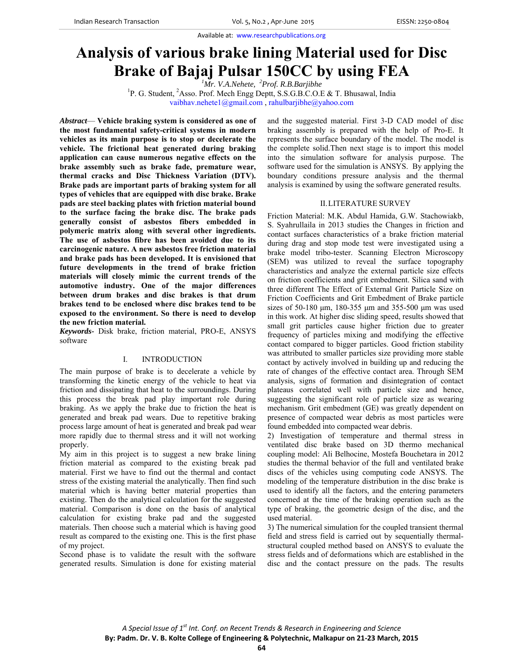# **Analysis of various brake lining Material used for Disc Brake of Bajaj Pulsar 150CC by using FEA** *<sup>1</sup>*

<sup>1</sup>Mr. V.A.Nehete, <sup>2</sup>Prof. R.B.Barjibhe

*PH. V.A.Nehete, <sup>2</sup>Prof. R.B.Barjibhe*<br><sup>1</sup>P. G. Student, <sup>2</sup>Asso. Prof. Mech Engg Deptt, S.S.G.B.C.O.E & T. Bhusawal, India vaibhav.nehete1@gmail.com , rahulbarjibhe@yahoo.com

*Abstract*— **Vehicle braking system is considered as one of the most fundamental safety-critical systems in modern vehicles as its main purpose is to stop or decelerate the vehicle. The frictional heat generated during braking application can cause numerous negative effects on the brake assembly such as brake fade, premature wear, thermal cracks and Disc Thickness Variation (DTV). Brake pads are important parts of braking system for all types of vehicles that are equipped with disc brake. Brake pads are steel backing plates with friction material bound to the surface facing the brake disc. The brake pads generally consist of asbestos fibers embedded in polymeric matrix along with several other ingredients. The use of asbestos fibre has been avoided due to its carcinogenic nature. A new asbestos free friction material and brake pads has been developed. It is envisioned that future developments in the trend of brake friction materials will closely mimic the current trends of the automotive industry. One of the major differences between drum brakes and disc brakes is that drum brakes tend to be enclosed where disc brakes tend to be exposed to the environment. So there is need to develop the new friction material.** 

*Keywords-* Disk brake, friction material, PRO-E, ANSYS software

## I. INTRODUCTION

The main purpose of brake is to decelerate a vehicle by transforming the kinetic energy of the vehicle to heat via friction and dissipating that heat to the surroundings. During this process the break pad play important role during braking. As we apply the brake due to friction the heat is generated and break pad wears. Due to repetitive braking process large amount of heat is generated and break pad wear more rapidly due to thermal stress and it will not working properly.

My aim in this project is to suggest a new brake lining friction material as compared to the existing break pad material. First we have to find out the thermal and contact stress of the existing material the analytically. Then find such material which is having better material properties than existing. Then do the analytical calculation for the suggested material. Comparison is done on the basis of analytical calculation for existing brake pad and the suggested materials. Then choose such a material which is having good result as compared to the existing one. This is the first phase of my project.

Second phase is to validate the result with the software generated results. Simulation is done for existing material and the suggested material. First 3-D CAD model of disc braking assembly is prepared with the help of Pro-E. It represents the surface boundary of the model. The model is the complete solid.Then next stage is to import this model into the simulation software for analysis purpose. The software used for the simulation is ANSYS. By applying the boundary conditions pressure analysis and the thermal analysis is examined by using the software generated results.

#### II.LITERATURE SURVEY

Friction Material: M.K. Abdul Hamida, G.W. Stachowiakb, S. Syahrullaila in 2013 studies the Changes in friction and contact surfaces characteristics of a brake friction material during drag and stop mode test were investigated using a brake model tribo-tester. Scanning Electron Microscopy (SEM) was utilized to reveal the surface topography characteristics and analyze the external particle size effects on friction coefficients and grit embedment. Silica sand with three different The Effect of External Grit Particle Size on Friction Coefficients and Grit Embedment of Brake particle sizes of 50-180 μm, 180-355 μm and 355-500 μm was used in this work. At higher disc sliding speed, results showed that small grit particles cause higher friction due to greater frequency of particles mixing and modifying the effective contact compared to bigger particles. Good friction stability was attributed to smaller particles size providing more stable contact by actively involved in building up and reducing the rate of changes of the effective contact area. Through SEM analysis, signs of formation and disintegration of contact plateaus correlated well with particle size and hence, suggesting the significant role of particle size as wearing mechanism. Grit embedment (GE) was greatly dependent on presence of compacted wear debris as most particles were found embedded into compacted wear debris.

2) Investigation of temperature and thermal stress in ventilated disc brake based on 3D thermo mechanical coupling model: Ali Belhocine, Mostefa Bouchetara in 2012 studies the thermal behavior of the full and ventilated brake discs of the vehicles using computing code ANSYS. The modeling of the temperature distribution in the disc brake is used to identify all the factors, and the entering parameters concerned at the time of the braking operation such as the type of braking, the geometric design of the disc, and the used material.

3) The numerical simulation for the coupled transient thermal field and stress field is carried out by sequentially thermalstructural coupled method based on ANSYS to evaluate the stress fields and of deformations which are established in the disc and the contact pressure on the pads. The results

**By: Padm. Dr. V. B. Kolte College of Engineering & Polytechnic, Malkapur on 21‐23 March, 2015**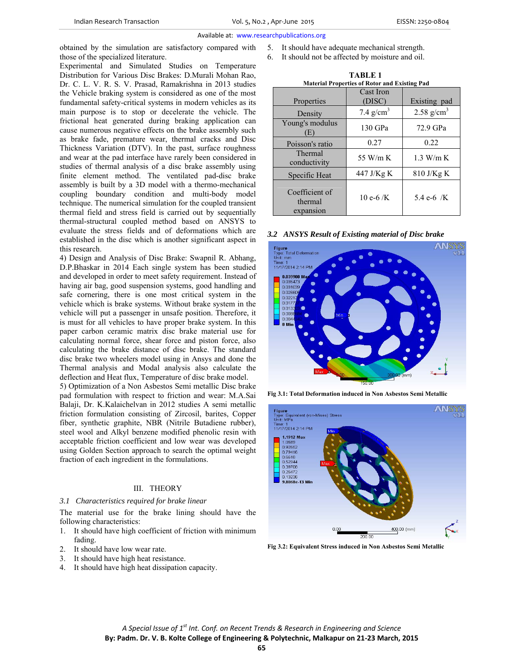obtained by the simulation are satisfactory compared with those of the specialized literature.

Experimental and Simulated Studies on Temperature Distribution for Various Disc Brakes: D.Murali Mohan Rao, Dr. C. L. V. R. S. V. Prasad, Ramakrishna in 2013 studies the Vehicle braking system is considered as one of the most fundamental safety-critical systems in modern vehicles as its main purpose is to stop or decelerate the vehicle. The frictional heat generated during braking application can cause numerous negative effects on the brake assembly such as brake fade, premature wear, thermal cracks and Disc Thickness Variation (DTV). In the past, surface roughness and wear at the pad interface have rarely been considered in studies of thermal analysis of a disc brake assembly using finite element method. The ventilated pad-disc brake assembly is built by a 3D model with a thermo-mechanical coupling boundary condition and multi-body model technique. The numerical simulation for the coupled transient thermal field and stress field is carried out by sequentially thermal-structural coupled method based on ANSYS to evaluate the stress fields and of deformations which are established in the disc which is another significant aspect in this research.

4) Design and Analysis of Disc Brake: Swapnil R. Abhang, D.P.Bhaskar in 2014 Each single system has been studied and developed in order to meet safety requirement. Instead of having air bag, good suspension systems, good handling and safe cornering, there is one most critical system in the vehicle which is brake systems. Without brake system in the vehicle will put a passenger in unsafe position. Therefore, it is must for all vehicles to have proper brake system. In this paper carbon ceramic matrix disc brake material use for calculating normal force, shear force and piston force, also calculating the brake distance of disc brake. The standard disc brake two wheelers model using in Ansys and done the Thermal analysis and Modal analysis also calculate the deflection and Heat flux, Temperature of disc brake model.

5) Optimization of a Non Asbestos Semi metallic Disc brake pad formulation with respect to friction and wear: M.A.Sai Balaji, Dr. K.Kalaichelvan in 2012 studies A semi metallic friction formulation consisting of Zircosil, barites, Copper fiber, synthetic graphite, NBR (Nitrile Butadiene rubber), steel wool and Alkyl benzene modified phenolic resin with acceptable friction coefficient and low wear was developed using Golden Section approach to search the optimal weight fraction of each ingredient in the formulations.

# III. THEORY

## *3.1 Characteristics required for brake linear*

The material use for the brake lining should have the following characteristics:

- 1. It should have high coefficient of friction with minimum fading.
- 2. It should have low wear rate.
- 3. It should have high heat resistance.
- 4. It should have high heat dissipation capacity.
- 5. It should have adequate mechanical strength.
- 6. It should not be affected by moisture and oil.

| TABLE 1                                              |             |               |  |  |
|------------------------------------------------------|-------------|---------------|--|--|
| <b>Material Properties of Rotor and Existing Pad</b> |             |               |  |  |
|                                                      | Cast Iron   |               |  |  |
| Properties                                           | (DISC)      | Existing pad  |  |  |
| Density                                              | 7.4 $g/cm3$ | 2.58 $g/cm^3$ |  |  |
| Young's modulus<br>Œ                                 | 130 GPa     | 72.9 GPa      |  |  |
| Poisson's ratio                                      | 0.27        | 0.22          |  |  |
| Thermal<br>conductivity                              | 55 W/m K    | $1.3$ W/m K   |  |  |
| Specific Heat                                        | 447 J/Kg K  | $810$ J/Kg K  |  |  |
| Coefficient of<br>thermal<br>expansion               | 10 e- $6/K$ | 5.4 e-6 /K    |  |  |

*3.2 ANSYS Result of Existing material of Disc brake* 



**Fig 3.1: Total Deformation induced in Non Asbestos Semi Metallic** 



**Fig 3.2: Equivalent Stress induced in Non Asbestos Semi Metallic**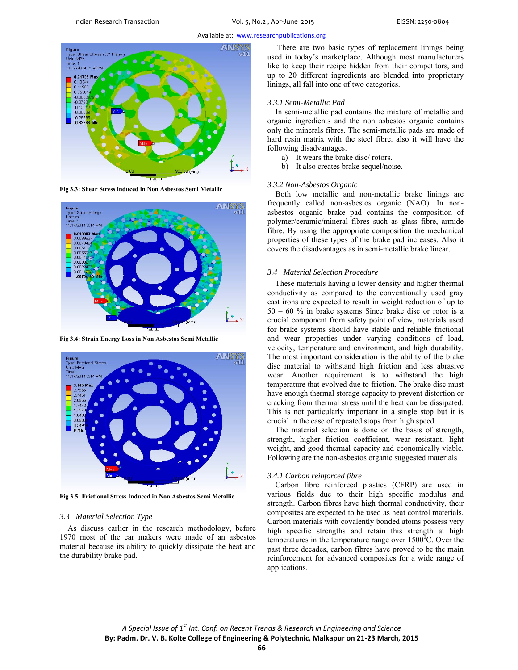

**Fig 3.3: Shear Stress induced in Non Asbestos Semi Metallic** 



**Fig 3.4: Strain Energy Loss in Non Asbestos Semi Metallic** 



**Fig 3.5: Frictional Stress Induced in Non Asbestos Semi Metallic** 

## *3.3 Material Selection Type*

As discuss earlier in the research methodology, before 1970 most of the car makers were made of an asbestos material because its ability to quickly dissipate the heat and the durability brake pad.

 There are two basic types of replacement linings being used in today's marketplace. Although most manufacturers like to keep their recipe hidden from their competitors, and up to 20 different ingredients are blended into proprietary linings, all fall into one of two categories.

## *3.3.1 Semi-Metallic Pad*

In semi-metallic pad contains the mixture of metallic and organic ingredients and the non asbestos organic contains only the minerals fibres. The semi-metallic pads are made of hard resin matrix with the steel fibre. also it will have the following disadvantages.

- a) It wears the brake disc/ rotors.
- b) It also creates brake sequel/noise.

## *3.3.2 Non-Asbestos Organic*

Both low metallic and non-metallic brake linings are frequently called non-asbestos organic (NAO). In nonasbestos organic brake pad contains the composition of polymer/ceramic/mineral fibres such as glass fibre, armide fibre. By using the appropriate composition the mechanical properties of these types of the brake pad increases. Also it covers the disadvantages as in semi-metallic brake linear.

## *3.4 Material Selection Procedure*

These materials having a lower density and higher thermal conductivity as compared to the conventionally used gray cast irons are expected to result in weight reduction of up to 50 – 60 % in brake systems Since brake disc or rotor is a crucial component from safety point of view, materials used for brake systems should have stable and reliable frictional and wear properties under varying conditions of load, velocity, temperature and environment, and high durability. The most important consideration is the ability of the brake disc material to withstand high friction and less abrasive wear. Another requirement is to withstand the high temperature that evolved due to friction. The brake disc must have enough thermal storage capacity to prevent distortion or cracking from thermal stress until the heat can be dissipated. This is not particularly important in a single stop but it is crucial in the case of repeated stops from high speed.

The material selection is done on the basis of strength, strength, higher friction coefficient, wear resistant, light weight, and good thermal capacity and economically viable. Following are the non-asbestos organic suggested materials

# *3.4.1 Carbon reinforced fibre*

Carbon fibre reinforced plastics (CFRP) are used in various fields due to their high specific modulus and strength. Carbon fibres have high thermal conductivity, their composites are expected to be used as heat control materials. Carbon materials with covalently bonded atoms possess very high specific strengths and retain this strength at high temperatures in the temperature range over  $1500^{\circ}$ C. Over the past three decades, carbon fibres have proved to be the main reinforcement for advanced composites for a wide range of applications.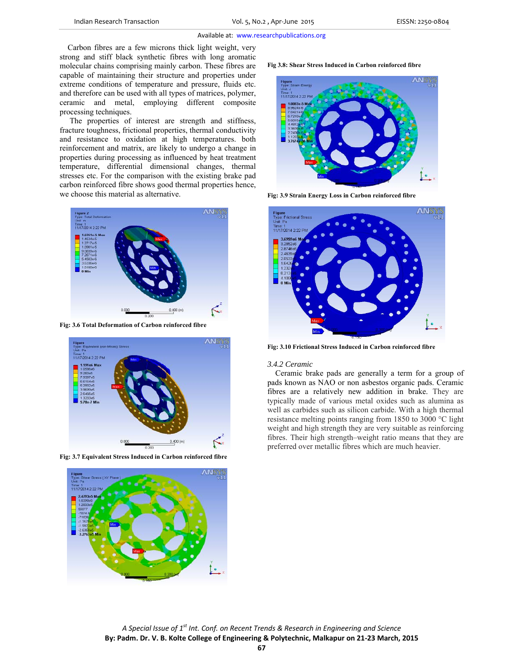Carbon fibres are a few microns thick light weight, very strong and stiff black synthetic fibres with long aromatic molecular chains comprising mainly carbon. These fibres are capable of maintaining their structure and properties under extreme conditions of temperature and pressure, fluids etc. and therefore can be used with all types of matrices, polymer, ceramic and metal, employing different composite processing techniques.

 The properties of interest are strength and stiffness, fracture toughness, frictional properties, thermal conductivity and resistance to oxidation at high temperatures. both reinforcement and matrix, are likely to undergo a change in properties during processing as influenced by heat treatment temperature, differential dimensional changes, thermal stresses etc. For the comparison with the existing brake pad carbon reinforced fibre shows good thermal properties hence, we choose this material as alternative.







**Fig 3.8: Shear Stress Induced in Carbon reinforced fibre** 



 **Fig: 3.9 Strain Energy Loss in Carbon reinforced fibre** 



**Fig: 3.10 Frictional Stress Induced in Carbon reinforced fibre** 

#### *3.4.2 Ceramic*

Ceramic brake pads are generally a term for a group of pads known as NAO or non asbestos organic pads. Ceramic fibres are a relatively new addition in brake. They are typically made of various metal oxides such as alumina as well as carbides such as silicon carbide. With a high thermal resistance melting points ranging from 1850 to 3000 °C light weight and high strength they are very suitable as reinforcing fibres. Their high strength–weight ratio means that they are preferred over metallic fibres which are much heavier.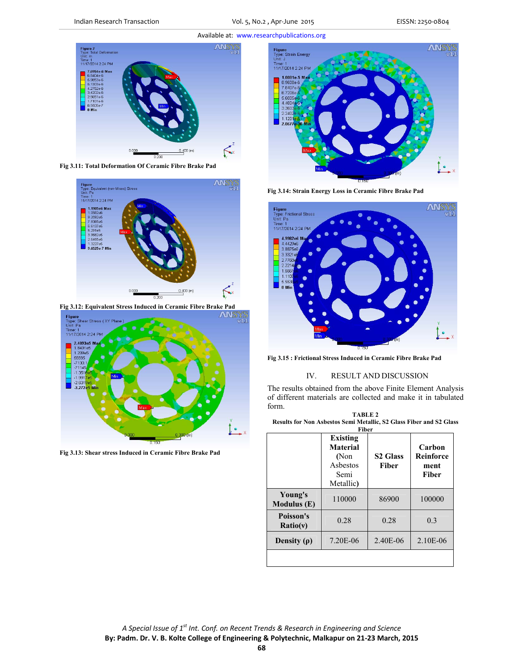Indian Research Transaction Vol. 5, No.2 , Apr‐June 2015 EISSN: 2250‐0804



**Fig 3.11: Total Deformation Of Ceramic Fibre Brake Pad** 



**Fig 3.12: Equivalent Stress Induced in Ceramic Fibre Brake Pad** 



**Fig 3.13: Shear stress Induced in Ceramic Fibre Brake Pad** 



**Fig 3.14: Strain Energy Loss in Ceramic Fibre Brake Pad** 



**Fig 3.15 : Frictional Stress Induced in Ceramic Fibre Brake Pad** 

# IV. RESULT AND DISCUSSION

The results obtained from the above Finite Element Analysis of different materials are collected and make it in tabulated form.

| TABLE 2                                                             |
|---------------------------------------------------------------------|
| Results for Non Asbestos Semi Metallic, S2 Glass Fiber and S2 Glass |
| Fiber                                                               |

|                          | <b>Existing</b><br><b>Material</b><br>(Non<br>Asbestos<br>Semi<br>Metallic) | <b>S2 Glass</b><br><b>Fiber</b> | Carbon<br><b>Reinforce</b><br>ment<br>Fiber |
|--------------------------|-----------------------------------------------------------------------------|---------------------------------|---------------------------------------------|
| Young's<br>Modulus $(E)$ | 110000                                                                      | 86900                           | 100000                                      |
| Poisson's<br>Ratio(v)    | 0.28                                                                        | 0.28                            | 0.3                                         |
| Density $(\rho)$         | 7.20E-06                                                                    | 2.40E-06                        | 2.10E-06                                    |
|                          |                                                                             |                                 |                                             |

**68**